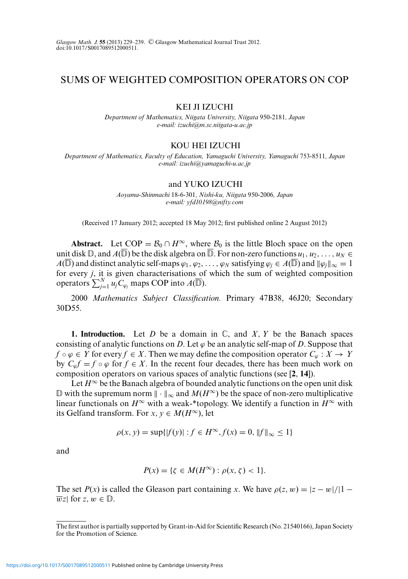# SUMS OF WEIGHTED COMPOSITION OPERATORS ON COP

## KEI JI IZUCHI

*Department of Mathematics, Niigata University, Niigata* 950*-*2181*, Japan e-mail: izuchi@m.sc.niigata-u.ac.jp*

#### KOU HEI IZUCHI

*Department of Mathematics, Faculty of Education, Yamaguchi University, Yamaguchi* 753*-*8511*, Japan e-mail: izuchi@yamaguchi-u.ac.jp*

#### and YUKO IZUCHI

*Aoyama-Shinmachi* 18*-*6*-*301*, Nishi-ku, Niigata* 950*-*2006*, Japan e-mail: yfd10198@nifty.com*

(Received 17 January 2012; accepted 18 May 2012; first published online 2 August 2012)

**Abstract.** Let COP =  $\mathcal{B}_0 \cap H^{\infty}$ , where  $\mathcal{B}_0$  is the little Bloch space on the open unit disk  $\mathbb{D}$ , and  $A(\mathbb{D})$  be the disk algebra on  $\mathbb{D}$ . For non-zero functions  $u_1, u_2, \ldots, u_N \in$ *A*( $\mathbb D$ ) and distinct analytic self-maps  $\varphi_1, \varphi_2, \ldots, \varphi_N$  satisfying  $\varphi_j \in A(\mathbb D)$  and  $\|\varphi_j\|_\infty = 1$ for every *j*, it is given characterisations of which the sum of weighted composition operators  $\sum_{j=1}^{N} u_j C_{\varphi_j}$  maps COP into  $A(\overline{\mathbb{D}})$ .

2000 *Mathematics Subject Classification.* Primary 47B38, 46J20; Secondary 30D55.

**1. Introduction.** Let *D* be a domain in  $\mathbb{C}$ , and *X*, *Y* be the Banach spaces consisting of analytic functions on *D*. Let  $\varphi$  be an analytic self-map of *D*. Suppose that  $f \circ \varphi \in Y$  for every  $f \in X$ . Then we may define the composition operator  $C_{\varphi}: X \to Y$ by  $C_{\varphi}f = f \circ \varphi$  for  $f \in X$ . In the recent four decades, there has been much work on composition operators on various spaces of analytic functions (see [**2**, **14**]).

Let  $H^{\infty}$  be the Banach algebra of bounded analytic functions on the open unit disk  $\mathbb D$  with the supremum norm  $\|\cdot\|_{\infty}$  and  $M(H^{\infty})$  be the space of non-zero multiplicative linear functionals on  $H^{\infty}$  with a weak-\*topology. We identify a function in  $H^{\infty}$  with its Gelfand transform. For *x*,  $v \in M(H^{\infty})$ , let

$$
\rho(x, y) = \sup\{|f(y)| : f \in H^{\infty}, f(x) = 0, \|f\|_{\infty} \le 1\}
$$

and

$$
P(x) = \{ \zeta \in M(H^{\infty}) : \rho(x, \zeta) < 1 \}.
$$

The set  $P(x)$  is called the Gleason part containing *x*. We have  $\rho(z, w) = |z - w|/|1 - w|$  $\overline{w}z$  for  $z, w \in \mathbb{D}$ .

The first author is partially supported by Grant-in-Aid for Scientific Research (No. 21540166), Japan Society for the Promotion of Science.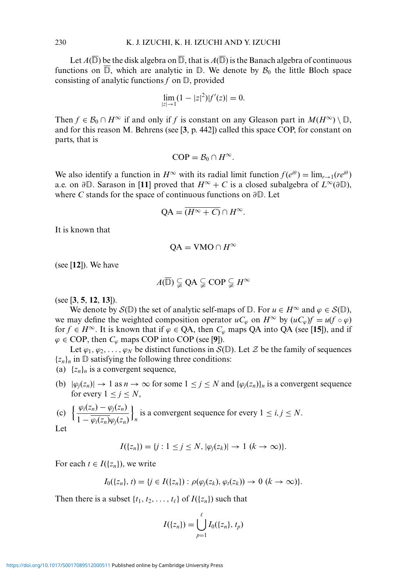Let  $A(\mathbb{D})$  be the disk algebra on  $\mathbb{D}$ , that is  $A(\mathbb{D})$  is the Banach algebra of continuous functions on  $\mathbb{D}$ , which are analytic in  $\mathbb{D}$ . We denote by  $\mathcal{B}_0$  the little Bloch space consisting of analytic functions  $f$  on  $\mathbb{D}$ , provided

$$
\lim_{|z|\to 1} (1-|z|^2)|f'(z)|=0.
$$

Then  $f \in \mathcal{B}_0 \cap H^\infty$  if and only if *f* is constant on any Gleason part in  $M(H^\infty) \setminus \mathbb{D}$ , and for this reason M. Behrens (see [**3**, p. 442]) called this space COP, for constant on parts, that is

$$
\text{COP} = \mathcal{B}_0 \cap H^{\infty}.
$$

We also identify a function in  $H^{\infty}$  with its radial limit function  $f(e^{i\theta}) = \lim_{r \to 1} (re^{i\theta})$ a.e. on  $\partial \mathbb{D}$ . Sarason in [11] proved that  $H^{\infty} + C$  is a closed subalgebra of  $L^{\infty}(\partial \mathbb{D})$ , where *C* stands for the space of continuous functions on  $\partial \mathbb{D}$ . Let

$$
QA = \overline{(H^{\infty} + C)} \cap H^{\infty}.
$$

It is known that

$$
QA = VMO \cap H^{\infty}
$$

(see [**12**]). We have

$$
A(\overline{\mathbb{D}}) \subsetneqq \text{QA} \subsetneqq \text{COP} \subsetneqq H^{\infty}
$$

(see [**3**, **5**, **12**, **13**]).

We denote by  $S(\mathbb{D})$  the set of analytic self-maps of  $\mathbb{D}$ . For  $u \in H^{\infty}$  and  $\varphi \in S(\mathbb{D})$ , we may define the weighted composition operator  $uC_\varphi$  on  $H^\infty$  by  $(uC_\varphi)f = u(f \circ \varphi)$ for *f* ∈ *H*<sup>∞</sup>. It is known that if  $\varphi$  ∈ QA, then  $C_{\varphi}$  maps QA into QA (see [15]), and if  $\varphi \in \text{COP}$ , then  $C_{\varphi}$  maps COP into COP (see [9]).

Let  $\varphi_1, \varphi_2, \ldots, \varphi_N$  be distinct functions in  $S(\mathbb{D})$ . Let  $\mathcal Z$  be the family of sequences  $\{z_n\}_n$  in  $\mathbb D$  satisfying the following three conditions:

(a)  $\{z_n\}_n$  is a convergent sequence,

(b)  $|\varphi_j(z_n)| \to 1$  as  $n \to \infty$  for some  $1 \le j \le N$  and  $\{\varphi_j(z_n)\}_n$  is a convergent sequence for every  $1 \leq j \leq N$ ,

(c) 
$$
\left\{\frac{\varphi_i(z_n) - \varphi_j(z_n)}{1 - \overline{\varphi_i(z_n)}\varphi_j(z_n)}\right\}_n
$$
 is a convergent sequence for every  $1 \le i, j \le N$ .

Let

$$
I({z_n}) = {j : 1 \le j \le N, |\varphi_j(z_k)| \to 1 (k \to \infty)}.
$$

For each  $t \in I({z_n})$ , we write

$$
I_0({z_n}, t) = \{j \in I({z_n}) : \rho(\varphi_j(z_k), \varphi_t(z_k)) \to 0 \ (k \to \infty)\}.
$$

Then there is a subset  $\{t_1, t_2, \ldots, t_\ell\}$  of  $I(\{z_n\})$  such that

$$
I(\{z_n\}) = \bigcup_{p=1}^{\ell} I_0(\{z_n\}, t_p)
$$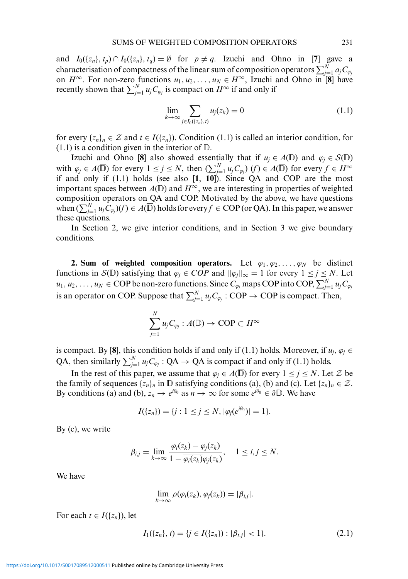and  $I_0({z_n}, t_p) \cap I_0({z_n}, t_q) = \emptyset$  for  $p \neq q$ . Izuchi and Ohno in [7] gave a characterisation of compactness of the linear sum of composition operators  $\sum_{j=1}^N a_j C_{\varphi_j}$ on  $H^{\infty}$ . For non-zero functions  $u_1, u_2, \ldots, u_N \in H^{\infty}$ , Izuchi and Ohno in [8] have recently shown that  $\sum_{j=1}^{N} u_j C_{\varphi_j}$  is compact on  $H^{\infty}$  if and only if

$$
\lim_{k \to \infty} \sum_{j \in I_0(\{z_n\}, t)} u_j(z_k) = 0 \tag{1.1}
$$

for every  $\{z_n\}_n \in \mathcal{Z}$  and  $t \in I(\{z_n\})$ . Condition (1.1) is called an interior condition, for  $(1.1)$  is a condition given in the interior of  $\mathbb{D}$ .

Izuchi and Ohno [8] also showed essentially that if  $u_j \in A(\mathbb{D})$  and  $\varphi_j \in S(\mathbb{D})$ with  $\varphi_j \in A(\overline{\mathbb{D}})$  for every  $1 \leq j \leq N$ , then  $(\sum_{j=1}^N u_j C_{\varphi_j})$   $(f) \in A(\overline{\mathbb{D}})$  for every  $f \in H^{\infty}$ if and only if (1.1) holds (see also [**1**, **10**]). Since QA and COP are the most important spaces between  $A(\overline{\mathbb{D}})$  and  $H^{\infty}$ , we are interesting in properties of weighted composition operators on QA and COP. Motivated by the above, we have questions when  $(\sum_{j=1}^N u_j C_{\varphi_j})(f) \in A(\overline{\mathbb{D}})$  holds for every  $f \in \text{COP}$  (or QA). In this paper, we answer these questions.

In Section 2, we give interior conditions, and in Section 3 we give boundary conditions.

**2. Sum of weighted composition operators.** Let  $\varphi_1, \varphi_2, \ldots, \varphi_N$  be distinct functions in S( $\mathbb{D}$ ) satisfying that  $\varphi_j \in COP$  and  $\|\varphi_j\|_{\infty} = 1$  for every  $1 \le j \le N$ . Let  $u_1, u_2, \ldots, u_N \in \text{COP}$  be non-zero functions. Since  $C_{\varphi_j}$  maps COP into COP,  $\sum_{j=1}^N u_jC_{\varphi_j}$ is an operator on COP. Suppose that  $\sum_{j=1}^{N} u_j C_{\varphi_j}$  : COP  $\rightarrow$  COP is compact. Then,

$$
\sum_{j=1}^N u_j C_{\varphi_j}: A(\overline{\mathbb{D}}) \to \textnormal{COP} \subset H^\infty
$$

is compact. By [8], this condition holds if and only if (1.1) holds. Moreover, if  $u_i, \varphi_i \in$ QA, then similarly  $\sum_{j=1}^{N} u_j C_{\varphi_j}$  : QA  $\rightarrow$  QA is compact if and only if (1.1) holds.

In the rest of this paper, we assume that  $\varphi_j \in A(\mathbb{D})$  for every  $1 \le j \le N$ . Let Z be the family of sequences  $\{z_n\}_n$  in  $\mathbb{D}$  satisfying conditions (a), (b) and (c). Let  $\{z_n\}_n \in \mathcal{Z}$ . By conditions (a) and (b),  $z_n \to e^{i\theta_0}$  as  $n \to \infty$  for some  $e^{i\theta_0} \in \partial \mathbb{D}$ . We have

$$
I(\{z_n\}) = \{j : 1 \le j \le N, |\varphi_j(e^{i\theta_0})| = 1\}.
$$

By (c), we write

$$
\beta_{i,j} = \lim_{k \to \infty} \frac{\varphi_i(z_k) - \varphi_j(z_k)}{1 - \overline{\varphi_i(z_k)}\varphi_j(z_k)}, \quad 1 \le i, j \le N.
$$

We have

$$
\lim_{k\to\infty}\rho(\varphi_i(z_k),\varphi_j(z_k))=|\beta_{i,j}|.
$$

For each  $t \in I({z_n})$ , let

$$
I_1(\{z_n\}, t) = \{j \in I(\{z_n\}) : |\beta_{t,j}| < 1\}.\tag{2.1}
$$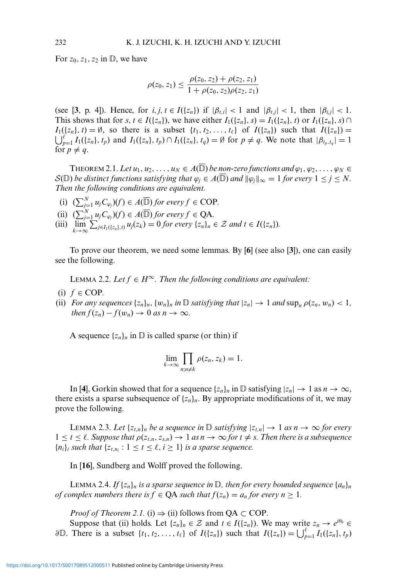For  $z_0$ ,  $z_1$ ,  $z_2$  in  $\mathbb{D}$ , we have

$$
\rho(z_0, z_1) \leq \frac{\rho(z_0, z_2) + \rho(z_2, z_1)}{1 + \rho(z_0, z_2)\rho(z_2, z_1)}
$$

(see [3, p. 4]). Hence, for  $i, j, t \in I({z_n})$  if  $|\beta_{t,i}| < 1$  and  $|\beta_{t,j}| < 1$ , then  $|\beta_{i,j}| < 1$ . This shows that for  $s, t \in I({z_n})$ , we have either  $I_1({z_n}, s) = I_1({z_n}, t)$  or  $I_1({z_n}, s) \cap I_1({z_n}, s)$  $\bigcup_{p=1}^{e} I_1(\{z_n\}, t_p)$  and  $I_1(\{z_n\}, t_p) \cap I_1(\{z_n\}, t_q) = \emptyset$  for  $p \neq q$ . We note that  $|\beta_{t_p, t_q}| = 1$  $I_1({z_n}, t) = \emptyset$ , so there is a subset  ${t_1, t_2, \ldots, t_\ell}$  of  $I({z_n})$  such that  $I({z_n}) =$ for  $p \neq q$ .

THEOREM 2.1. Let  $u_1, u_2, \ldots, u_N \in A(\mathbb{D})$  be non-zero functions and  $\varphi_1, \varphi_2, \ldots, \varphi_N \in$  $\mathcal{S}(\mathbb{D})$  *be distinct functions satisfying that*  $\varphi_j \in A(\mathbb{D})$  *and*  $\|\varphi_j\|_{\infty} = 1$  *for every*  $1 \leq j \leq N$ . *Then the following conditions are equivalent.*

- (i)  $(\sum_{j=1}^{N} u_j C_{\varphi_j})(f) \in A(\overline{\mathbb{D}})$  *for every*  $f \in \text{COP}$ *.*
- (ii)  $(\sum_{j=1}^{N} u_j C_{\varphi_j})(f) \in A(\overline{\mathbb{D}})$  *for every*  $f \in QA$ *.*
- (iii)  $\lim_{k \to \infty} \sum_{j \in I_1({z_n}),j} u_j(z_k) = 0$  *for every*  ${z_n}_n \in \mathcal{Z}$  *and*  $t \in I({z_n})$ *.*

To prove our theorem, we need some lemmas. By [**6**] (see also [**3**]), one can easily see the following.

LEMMA 2.2. Let  $f \in H^\infty$ . Then the following conditions are equivalent:

- $(i)$   $f \in COP$ .
- (ii) *For any sequences*  $\{z_n\}_n$ ,  $\{w_n\}_n$  *in*  $\mathbb D$  *satisfying that*  $|z_n| \to 1$  *and*  $\sup_n \rho(z_n, w_n) < 1$ , *then*  $f(z_n) - f(w_n) \to 0$  *as*  $n \to \infty$ *.*

A sequence  $\{z_n\}_n$  in  $\mathbb D$  is called sparse (or thin) if

$$
\lim_{k\to\infty}\prod_{n,n\neq k}\rho(z_n,z_k)=1.
$$

In [4], Gorkin showed that for a sequence  $\{z_n\}_n$  in  $\mathbb D$  satisfying  $|z_n| \to 1$  as  $n \to \infty$ , there exists a sparse subsequence of  $\{z_n\}_n$ . By appropriate modifications of it, we may prove the following.

LEMMA 2.3. Let  $\{z_{t,n}\}_n$  be a sequence in  $\mathbb D$  satisfying  $|z_{t,n}| \to 1$  as  $n \to \infty$  for every  $1 \le t \le \ell$ . Suppose that  $\rho(z_{t,n}, z_{s,n}) \to 1$  as  $n \to \infty$  for  $t \ne s$ . Then there is a subsequence  ${n_i}_i$  *such that*  ${z_{t,n_i} : 1 \le t \le \ell, i \ge 1}$  *is a sparse sequence.* 

In [**16**], Sundberg and Wolff proved the following.

LEMMA 2.4. If  $\{z_n\}_n$  is a sparse sequence in  $\mathbb{D}$ , then for every bounded sequence  $\{a_n\}_n$ *of complex numbers there is*  $f \in QA$  *such that*  $f(z_n) = a_n$  *for every*  $n \ge 1$ *.* 

*Proof of Theorem 2.1.* (i)  $\Rightarrow$  (ii) follows from QA  $\subset$  COP.

Suppose that (ii) holds. Let  $\{z_n\}_n \in \mathcal{Z}$  and  $t \in I(\{z_n\})$ . We may write  $z_n \to e^{i\theta_0} \in$ ∂**D**. There is a subset  $\{t_1, t_2, ..., t_\ell\}$  of  $I(\{z_n\})$  such that  $I(\{z_n\}) = \bigcup_{p=1}^\ell I_1(\{z_n\}, t_p)$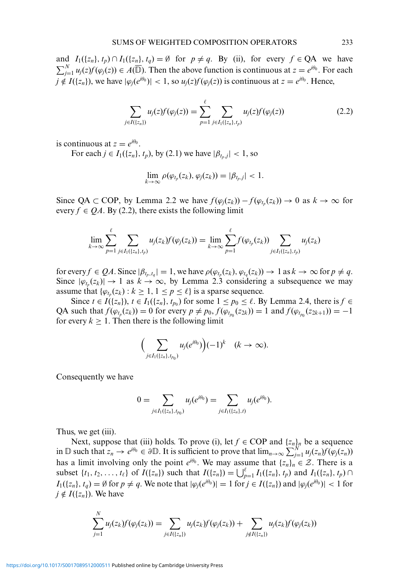and  $I_1({z_n}, t_p) \cap I_1({z_n}, t_q) = \emptyset$  for  $p \neq q$ . By (ii), for every  $f \in QA$  we have  $\sum_{j=1}^{N} u_j(z) f(\varphi_j(z)) \in A(\overline{\mathbb{D}})$ . Then the above function is continuous at  $z = e^{i\theta_0}$ . For each  $j \notin I({z_n})$ , we have  $|\varphi_i(e^{i\theta_0})| < 1$ , so  $u_i(z)f(\varphi_i(z))$  is continuous at  $z = e^{i\theta_0}$ . Hence,

$$
\sum_{j \in I(\{z_n\})} u_j(z) f(\varphi_j(z)) = \sum_{p=1}^{\ell} \sum_{j \in I_1(\{z_n\}, t_p)} u_j(z) f(\varphi_j(z)) \tag{2.2}
$$

is continuous at  $z = e^{i\theta_0}$ .

For each  $j \in I_1({z_n}, t_p)$ , by (2.1) we have  $|\beta_{t_p,j}| < 1$ , so

$$
\lim_{k\to\infty}\rho(\varphi_{t_p}(z_k),\varphi_j(z_k))=|\beta_{t_p,j}|<1.
$$

Since QA  $\subset$  COP, by Lemma 2.2 we have  $f(\varphi_j(z_k)) - f(\varphi_{t_p}(z_k)) \to 0$  as  $k \to \infty$  for every  $f \in QA$ . By (2.2), there exists the following limit

$$
\lim_{k\to\infty}\sum_{p=1}^{\ell}\sum_{j\in I_1({z_n}),t_p}u_j(z_k)f(\varphi_j(z_k))=\lim_{k\to\infty}\sum_{p=1}^{\ell}f(\varphi_{t_p}(z_k))\sum_{j\in I_1({z_n}),t_p}u_j(z_k)
$$

for every  $f \in QA$ . Since  $|\beta_{t_p,t_q}| = 1$ , we have  $\rho(\varphi_{t_p}(z_k), \varphi_{t_q}(z_k)) \to 1$  as  $k \to \infty$  for  $p \neq q$ . Since  $|\varphi_{t_n}(z_k)| \to 1$  as  $k \to \infty$ , by Lemma 2.3 considering a subsequence we may assume that  $\{\varphi_{t_n}(z_k): k \geq 1, 1 \leq p \leq \ell\}$  is a sparse sequence.

Since  $t \in I(\{z_n\})$ ,  $t \in I_1(\{z_n\}, t_{p_0})$  for some  $1 \le p_0 \le \ell$ . By Lemma 2.4, there is  $f \in$ QA such that  $f(\varphi_{t_p}(z_k)) = 0$  for every  $p \neq p_0$ ,  $f(\varphi_{t_{p_0}}(z_{2k})) = 1$  and  $f(\varphi_{t_{p_0}}(z_{2k+1})) = -1$ for every  $k \geq 1$ . Then there is the following limit

$$
\Big(\sum_{j\in I_1(\{z_n\},t_{p_0})}u_j(e^{i\theta_0})\Big)(-1)^k\quad (k\to\infty).
$$

Consequently we have

$$
0=\sum_{j\in I_1(\{z_n\},t_{p_0})}u_j(e^{i\theta_0})=\sum_{j\in I_1(\{z_n\},t)}u_j(e^{i\theta_0}).
$$

Thus, we get (iii).

Next, suppose that (iii) holds. To prove (i), let  $f \in COP$  and  $\{z_n\}$ <sup>*n*</sup> be a sequence in  $\mathbb{D}$  such that  $z_n \to e^{i\theta_0} \in \partial \mathbb{D}$ . It is sufficient to prove that  $\lim_{n\to\infty} \sum_{j=1}^N u_j(z_n)f(\varphi_j(z_n))$ has a limit involving only the point  $e^{i\theta_0}$ . We may assume that  $\{z_n\}_n \in \mathcal{Z}$ . There is a subset  $\{t_1, t_2, ..., t_\ell\}$  of  $I(\{z_n\})$  such that  $I(\{z_n\}) = \bigcup_{p=1}^{\ell} I_1(\{z_n\}, t_p)$  and  $I_1(\{z_n\}, t_p) \cap I_2$  $I_1({z_n}, t_a) = \emptyset$  for  $p \neq q$ . We note that  $|\varphi_i(e^{i\theta_0})| = 1$  for  $j \in I({z_n})$  and  $|\varphi_i(e^{i\theta_0})| < 1$  for  $j \notin I({z_n})$ . We have

$$
\sum_{j=1}^N u_j(z_k) f(\varphi_j(z_k)) = \sum_{j \in I(\{z_n\})} u_j(z_k) f(\varphi_j(z_k)) + \sum_{j \notin I(\{z_n\})} u_j(z_k) f(\varphi_j(z_k))
$$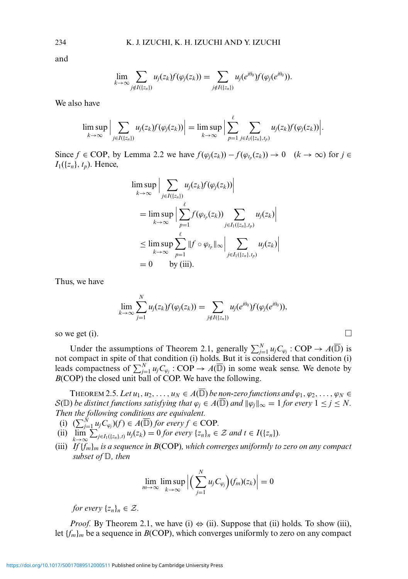and

$$
\lim_{k\to\infty}\sum_{j\notin I({z_n})}u_j(z_k)f(\varphi_j(z_k))=\sum_{j\notin I({z_n})}u_j(e^{i\theta_0})f(\varphi_j(e^{i\theta_0})).
$$

We also have

$$
\limsup_{k\to\infty}\Big|\sum_{j\in I(\{z_n\})}u_j(z_k)f(\varphi_j(z_k))\Big|=\limsup_{k\to\infty}\Big|\sum_{p=1}^{\ell}\sum_{j\in I_1(\{z_n\},t_p)}u_j(z_k)f(\varphi_j(z_k))\Big|.
$$

Since *f* ∈ COP, by Lemma 2.2 we have  $f(\varphi_j(z_k)) - f(\varphi_{t_p}(z_k)) \to 0$  (*k* → ∞) for *j* ∈  $I_1({z_n}, t_p)$ . Hence,

$$
\limsup_{k \to \infty} \Big| \sum_{j \in I((z_n))} u_j(z_k) f(\varphi_j(z_k)) \Big|
$$
\n
$$
= \limsup_{k \to \infty} \Big| \sum_{p=1}^{\ell} f(\varphi_{t_p}(z_k)) \sum_{j \in I_1((z_n), t_p)} u_j(z_k) \Big|
$$
\n
$$
\leq \limsup_{k \to \infty} \sum_{p=1}^{\ell} \|f \circ \varphi_{t_p}\|_{\infty} \Big| \sum_{j \in I_1((z_n), t_p)} u_j(z_k)
$$
\n
$$
= 0 \quad \text{by (iii)}.
$$

 $\overline{\phantom{a}}$  $\overline{\phantom{a}}$  $\overline{\phantom{a}}$ 

Thus, we have

$$
\lim_{k\to\infty}\sum_{j=1}^N u_j(z_k)f(\varphi_j(z_k))=\sum_{j\notin I(\{z_n\})}u_j(e^{i\theta_0})f(\varphi_j(e^{i\theta_0})),
$$

so we get (i).  $\Box$ 

Under the assumptions of Theorem 2.1, generally  $\sum_{j=1}^{N} u_j C_{\varphi_j}$ : COP  $\to A(\overline{\mathbb{D}})$  is not compact in spite of that condition (i) holds. But it is considered that condition (i) leads compactness of  $\sum_{j=1}^{N} u_j C_{\varphi_j}$ : COP  $\to A(\overline{\mathbb{D}})$  in some weak sense. We denote by *B*(COP) the closed unit ball of COP. We have the following.

THEOREM 2.5. Let  $u_1, u_2, \ldots, u_N \in A(\mathbb{D})$  be non-zero functions and  $\varphi_1, \varphi_2, \ldots, \varphi_N \in A(\mathbb{D})$  $\mathcal{S}(\mathbb{D}% )=\mathbb{C}^{2}\times\{1\}\times\{1\}$ ) *be distinct functions satisfying that*  $\varphi_j \in A(\mathbb{D})$  *and*  $\|\varphi_j\|_{\infty} = 1$  *for every*  $1 \leq j \leq N$ . *Then the following conditions are equivalent.*

- (i)  $(\sum_{j=1}^{N} u_j C_{\varphi_j})(f) \in A(\overline{\mathbb{D}})$  *for every*  $f \in \text{COP}$ *.*
- (ii)  $\lim_{k \to \infty} \sum_{j \in I_1({z_n}),i} u_j(z_k) = 0$  *for every*  $\{z_n\}_n \in \mathcal{Z}$  *and*  $t \in I({z_n})$ *.*
- (iii) *If* {*fm*}*<sup>m</sup> is a sequence in B*(COP)*, which converges uniformly to zero on any compact*  $_{subset of \mathbb{D}, \ then}$

$$
\lim_{m\to\infty}\limsup_{k\to\infty}\Big|\Big(\sum_{j=1}^Nu_jC_{\varphi_j}\Big)(f_m)(z_k)\Big|=0
$$

*for every*  $\{z_n\}_n \in \mathcal{Z}$ .

*Proof.* By Theorem 2.1, we have (i)  $\Leftrightarrow$  (ii). Suppose that (ii) holds. To show (iii), let  ${f_m}_m$  be a sequence in *B*(COP), which converges uniformly to zero on any compact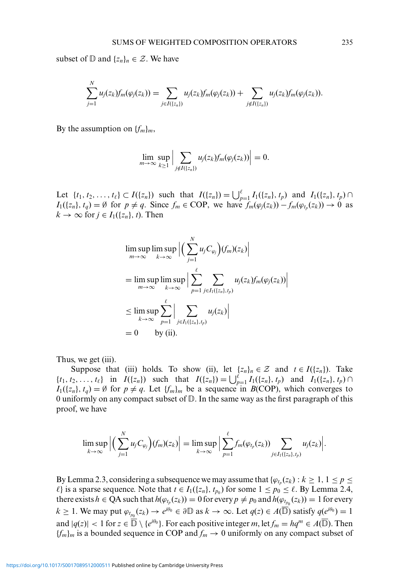subset of  $\mathbb{D}$  and  $\{z_n\}_n \in \mathcal{Z}$ . We have

$$
\sum_{j=1}^N u_j(z_k) f_m(\varphi_j(z_k)) = \sum_{j \in I(\{z_n\})} u_j(z_k) f_m(\varphi_j(z_k)) + \sum_{j \notin I(\{z_n\})} u_j(z_k) f_m(\varphi_j(z_k)).
$$

By the assumption on  $\{f_m\}_m$ ,

$$
\lim_{m\to\infty}\sup_{k\geq 1}\Big|\sum_{j\notin I(\{z_n\})}u_j(z_k)f_m(\varphi_j(z_k))\Big|=0.
$$

Let  $\{t_1, t_2, ..., t_\ell\} \subset I(\{z_n\})$  such that  $I(\{z_n\}) = \bigcup_{p=1}^\ell I_1(\{z_n\}, t_p)$  and  $I_1(\{z_n\}, t_p) \cap I_2$ *I*<sub>1</sub>({*z<sub>n</sub>*},*t<sub>q</sub>*) = Ø for  $p \neq q$ . Since  $f_m \in \text{COP}$ , we have  $f_m(\varphi_j(z_k)) - f_m(\varphi_{t_p}(z_k)) \to 0$  as  $k \to \infty$  for  $j \in I_1({z_n}, t)$ . Then

$$
\limsup_{m \to \infty} \limsup_{k \to \infty} \left| \left( \sum_{j=1}^{N} u_j C_{\varphi_j} \right) (f_m)(z_k) \right|
$$
\n
$$
= \limsup_{m \to \infty} \limsup_{k \to \infty} \left| \sum_{p=1}^{\ell} \sum_{j \in I_1(\{z_n\}, t_p)} u_j(z_k) f_m(\varphi_j(z_k)) \right|
$$
\n
$$
\leq \limsup_{k \to \infty} \sum_{p=1}^{\ell} \left| \sum_{j \in I_1(\{z_n\}, t_p)} u_j(z_k) \right|
$$
\n
$$
= 0 \quad \text{by (ii)}.
$$

Thus, we get (iii).

Suppose that (iii) holds. To show (ii), let  $\{z_n\}_n \in \mathcal{Z}$  and  $t \in I(\{z_n\})$ . Take  $\{t_1, t_2, \ldots, t_\ell\}$  in  $I({z_n})$  such that  $I({z_n}) = \bigcup_{p=1}^{\ell} I_1({z_n}, t_p)$  and  $I_1({z_n}, t_p) \cap$  $I_1({z_n}, t_q) = \emptyset$  for  $p \neq q$ . Let  $\{f_m\}_m$  be a sequence in  $B(COP)$ , which converges to 0 uniformly on any compact subset of  $\mathbb D$ . In the same way as the first paragraph of this proof, we have

$$
\limsup_{k\to\infty}\Big|\Big(\sum_{j=1}^Nu_jC_{\varphi_j}\Big)(f_m)(z_k)\Big|=\limsup_{k\to\infty}\Big|\sum_{p=1}^\ell f_m(\varphi_{t_p}(z_k))\sum_{j\in I_1(\{z_n\},t_p)}u_j(z_k)\Big|.
$$

By Lemma 2.3, considering a subsequence we may assume that  $\{\varphi_t(z_k): k \geq 1, 1 \leq p \leq k\}$ *ℓ*} is a sparse sequence. Note that  $t \in I_1({z_n}, t_{p_0})$  for some  $1 \le p_0 \le \ell$ . By Lemma 2.4, there exists  $h \in QA$  such that  $h(\varphi_{t_p}(z_k)) = 0$  for every  $p \neq p_0$  and  $h(\varphi_{t_{p_0}}(z_k)) = 1$  for every  $k \ge 1$ . We may put  $\varphi_{t_{p_0}}(z_k) \to e^{i\theta_0} \in \partial \mathbb{D}$  as  $k \to \infty$ . Let  $q(z) \in A(\overline{\mathbb{D}})$  satisfy  $q(e^{i\theta_0}) = 1$ and  $|q(z)| < 1$  for  $z \in \overline{\mathbb{D}} \setminus \{e^{i\theta_0}\}\$ . For each positive integer *m*, let  $f_m = hq^m \in A(\overline{\mathbb{D}})$ . Then  ${f_m}_m$  is a bounded sequence in COP and  $f_m \to 0$  uniformly on any compact subset of

*N*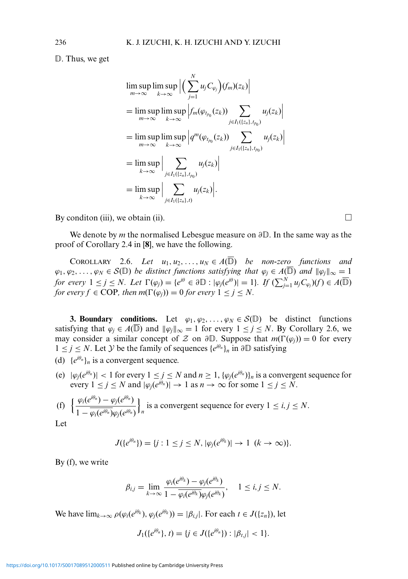D. Thus, we get

$$
\limsup_{m \to \infty} \limsup_{k \to \infty} \left| \left( \sum_{j=1}^{N} u_j C_{\varphi_j} \right) (f_m)(z_k) \right|
$$
\n
$$
= \limsup_{m \to \infty} \limsup_{k \to \infty} \left| f_m(\varphi_{t_{p_0}}(z_k)) \sum_{j \in I_1(\{z_n\}, t_{p_0})} u_j(z_k) \right|
$$
\n
$$
= \limsup_{m \to \infty} \limsup_{k \to \infty} \left| q^m(\varphi_{t_{p_0}}(z_k)) \sum_{j \in I_1(\{z_n\}, t_{p_0})} u_j(z_k) \right|
$$
\n
$$
= \limsup_{k \to \infty} \left| \sum_{j \in I_1(\{z_n\}, t_{p_0})} u_j(z_k) \right|
$$
\n
$$
= \limsup_{k \to \infty} \left| \sum_{j \in I_1(\{z_n\}, t)} u_j(z_k) \right|.
$$

By condition (iii), we obtain (ii).  $\Box$ 

We denote by *m* the normalised Lebesgue measure on  $\partial \mathbb{D}$ . In the same way as the proof of Corollary 2.4 in [**8**], we have the following.

COROLLARY 2.6. *Let*  $u_1, u_2, \ldots, u_N \in A(\mathbb{D})$  *be non-zero functions and*  $\varphi_1, \varphi_2, \ldots, \varphi_N \in \mathcal{S}(\mathbb{D})$  *be distinct functions satisfying that*  $\varphi_j \in A(\mathbb{D})$  *and*  $\|\varphi_j\|_{\infty} = 1$ *for every*  $1 \leq j \leq N$ *. Let*  $\Gamma(\varphi_j) = \{e^{i\theta} \in \partial \mathbb{D} : |\varphi_j(e^{i\theta})| = 1\}$ *. If*  $(\sum_{j=1}^N u_j C_{\varphi_j})(f) \in A(\overline{\mathbb{D}})$ *for every f*  $\in$  COP, *then*  $m(\Gamma(\varphi_i)) = 0$  *for every*  $1 \leq j \leq N$ .

**3. Boundary conditions.** Let  $\varphi_1, \varphi_2, ..., \varphi_N \in \mathcal{S}(\mathbb{D})$  be distinct functions satisfying that  $\varphi_j \in A(\mathbb{D})$  and  $\|\varphi_j\|_{\infty} = 1$  for every  $1 \leq j \leq N$ . By Corollary 2.6, we may consider a similar concept of Z on  $\partial \mathbb{D}$ . Suppose that  $m(\Gamma(\varphi_j)) = 0$  for every 1 ≤ *j* ≤ *N*. Let *Y* be the family of sequences  $\{e^{i\theta_n}\}_n$  in  $\partial \mathbb{D}$  satisfying

- (d)  ${e^{i\theta_n}}_n$  is a convergent sequence.
- (e)  $|\varphi_i(e^{i\theta_n})|$  < 1 for every  $1 \leq j \leq N$  and  $n \geq 1$ ,  $\{\varphi_i(e^{i\theta_n})\}_n$  is a convergent sequence for every  $1 \leq j \leq N$  and  $|\varphi_i(e^{i\theta_n})| \to 1$  as  $n \to \infty$  for some  $1 \leq j \leq N$ .

(f) 
$$
\left\{\frac{\varphi_i(e^{i\theta_n}) - \varphi_j(e^{i\theta_n})}{1 - \overline{\varphi_i(e^{i\theta_n})}\varphi_j(e^{i\theta_n})}\right\}_n
$$
 is a convergent sequence for every  $1 \le i, j \le N$ .

Let

$$
J({e^{i\theta_n}})=\{j: 1\leq j\leq N, |\varphi_j(e^{i\theta_k})|\to 1 \ (k\to\infty)\}.
$$

By (f), we write

$$
\beta_{i,j} = \lim_{k \to \infty} \frac{\varphi_i(e^{i\theta_k}) - \varphi_j(e^{i\theta_k})}{1 - \overline{\varphi_i(e^{i\theta_k})\varphi_j(e^{i\theta_k})}}, \quad 1 \leq i, j \leq N.
$$

We have  $\lim_{k\to\infty} \rho(\varphi_i(e^{i\theta_k}), \varphi_i(e^{i\theta_k})) = |\beta_{i,j}|$ . For each  $t \in J(\{z_n\})$ , let

$$
J_1({e^{i\theta_n}}, t) = \{j \in J({e^{i\theta_n}}): |\beta_{t,j}| < 1\}.
$$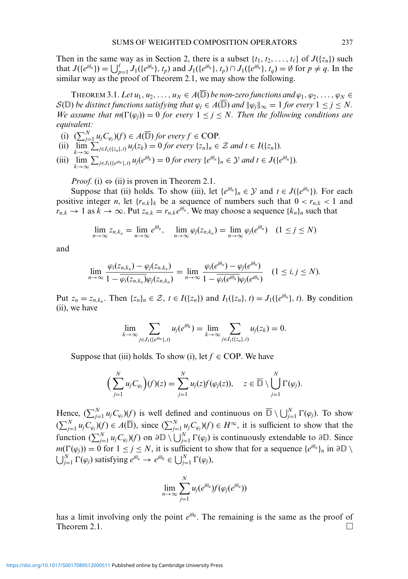Then in the same way as in Section 2, there is a subset  $\{t_1, t_2, \ldots, t_\ell\}$  of  $J(\{z_n\})$  such that  $J({e^{i\theta_n}}) = \bigcup_{p=1}^{\ell} J_1({e^{i\theta_n}}, t_p)$  and  $J_1({e^{i\theta_n}}, t_p) \cap J_1({e^{i\theta_n}}, t_q) = \emptyset$  for  $p \neq q$ . In the similar way as the proof of Theorem 2.1, we may show the following.

THEOREM 3.1. Let  $u_1, u_2, \ldots, u_N \in A(\mathbb{D})$  be <u>no</u>n-zero functions and  $\varphi_1, \varphi_2, \ldots, \varphi_N \in$  $\mathcal{S}(\mathbb{D})$  *be distinct functions satisfying that*  $\varphi_j \in A(\mathbb{D})$  *and*  $\|\varphi_j\|_{\infty} = 1$  *for every*  $1 \leq j \leq N$ . *We assume that*  $m(\Gamma(\varphi_i)) = 0$  *for every*  $1 \leq j \leq N$ . Then the following conditions are *equivalent:*

- (i)  $(\sum_{j=1}^{N} u_j C_{\varphi_j})(f) \in A(\overline{\mathbb{D}})$  *for every*  $f \in \text{COP}$ *.*
- (ii)  $\lim_{k \to \infty} \sum_{j \in I_1({z_n}), t} u_j(z_k) = 0$  *for every*  $\{z_n\}_n \in \mathcal{Z}$  *and*  $t \in I({z_n})$ *.*

(iii) 
$$
\lim_{k \to \infty} \sum_{j \in J_1(\{e^{i\theta_n}\},t)} u_j(e^{i\theta_k}) = 0 \text{ for every } \{e^{i\theta_n}\}_n \in \mathcal{Y} \text{ and } t \in J(\{e^{i\theta_n}\}).
$$

*Proof.* (i)  $\Leftrightarrow$  (ii) is proven in Theorem 2.1.

Suppose that (ii) holds. To show (iii), let  $\{e^{i\theta_n}\}_n \in \mathcal{Y}$  and  $t \in J(\{e^{i\theta_n}\})$ . For each positive integer *n*, let  $\{r_{n,k}\}_k$  be a sequence of numbers such that  $0 < r_{n,k} < 1$  and  $r_{n,k} \to 1$  as  $k \to \infty$ . Put  $z_{n,k} = r_{n,k} e^{i\theta_n}$ . We may choose a sequence  $\{k_n\}_n$  such that

$$
\lim_{n\to\infty} z_{n,k_n} = \lim_{n\to\infty} e^{i\theta_n}, \quad \lim_{n\to\infty} \varphi_j(z_{n,k_n}) = \lim_{n\to\infty} \varphi_j(e^{i\theta_n}) \quad (1 \le j \le N)
$$

and

$$
\lim_{n\to\infty}\frac{\varphi_i(z_{n,k_n})-\varphi_j(z_{n,k_n})}{1-\overline{\varphi_i(z_{n,k_n})}\varphi_j(z_{n,k_n})}=\lim_{n\to\infty}\frac{\varphi_i(e^{i\theta_n})-\varphi_j(e^{i\theta_n})}{1-\overline{\varphi_i(e^{i\theta_n})}\varphi_j(e^{i\theta_n})} \quad (1\leq i,j\leq N).
$$

Put  $z_n = z_{n,k_n}$ . Then  $\{z_n\}_n \in \mathcal{Z}, t \in I(\{z_n\})$  and  $I_1(\{z_n\}, t) = J_1(\{e^{i\theta_n}\}, t)$ . By condition (ii), we have

$$
\lim_{k\to\infty}\sum_{j\in J_1(\{e^{i\theta_n}\},t)}u_j(e^{i\theta_k})=\lim_{k\to\infty}\sum_{j\in I_1(\{z_n\},t)}u_j(z_k)=0.
$$

Suppose that (iii) holds. To show (i), let  $f \in COP$ . We have

$$
\left(\sum_{j=1}^N u_j C_{\varphi_j}\right)(f)(z) = \sum_{j=1}^N u_j(z) f(\varphi_j(z)), \quad z \in \overline{\mathbb{D}} \setminus \bigcup_{j=1}^N \Gamma(\varphi_j).
$$

Hence,  $(\sum_{j=1}^{N} u_j C_{\varphi_j})(f)$  is well defined and continuous on  $\overline{D} \setminus \bigcup_{j=1}^{N} \Gamma(\varphi_j)$ . To show  $(\sum_{j=1}^N u_j C_{\varphi_j})(f) \in A(\overline{\mathbb{D}})$ , since  $(\sum_{j=1}^N u_j C_{\varphi_j})(f) \in H^{\infty}$ , it is sufficient to show that the function  $(\sum_{j=1}^N u_j C_{\varphi_j})(f)$  on  $\partial \mathbb{D} \setminus \bigcup_{j=1}^N \Gamma(\varphi_j)$  is continuously extendable to  $\partial \mathbb{D}$ . Since  $m(\Gamma(\varphi_j)) = 0$  for  $1 \le j \le N$ , it is sufficient to show that for a sequence  $\{e^{i\theta_n}\}_n$  in  $\partial\mathbb{D} \setminus$  $\bigcup_{j=1}^{N} \Gamma(\varphi_j)$  satisfying  $e^{i\theta_n} \to e^{i\theta_0} \in \bigcup_{j=1}^{N} \Gamma(\varphi_j)$ ,

$$
\lim_{n\to\infty}\sum_{j=1}^N u_j(e^{i\theta_n})f(\varphi_j(e^{i\theta_n}))
$$

has a limit involving only the point  $e^{i\theta_0}$ . The remaining is the same as the proof of Theorem 2.1.  $\Box$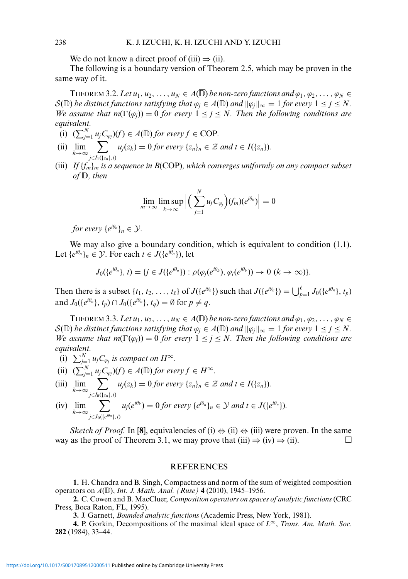We do not know a direct proof of (iii)  $\Rightarrow$  (ii).

The following is a boundary version of Theorem 2.5, which may be proven in the same way of it.

THEOREM 3.2. Let  $u_1, u_2, \ldots, u_N \in A(\mathbb{D})$  be <u>no</u>n-zero functions and  $\varphi_1, \varphi_2, \ldots, \varphi_N \in$  $\mathcal{S}(\mathbb{D})$  *be distinct functions satisfying that*  $\varphi_j \in A(\mathbb{D})$  *and*  $\|\varphi_j\|_{\infty} = 1$  *for every*  $1 \leq j \leq N$ . *We assume that m*( $\Gamma(\varphi_i)$ ) = 0 *for every*  $1 \leq j \leq N$ . *Then the following conditions are equivalent.*

- (i)  $(\sum_{j=1}^{N} u_j C_{\varphi_j})(f) \in A(\overline{\mathbb{D}})$  *for every*  $f \in \text{COP}$ *.*
- (ii)  $\lim_{k\to\infty}$   $\sum_{k\infty}$ *j*∈*I*1({*zn*},*t*)  $u_j(z_k) = 0$  *for every*  $\{z_n\}_n \in \mathcal{Z}$  *and*  $t \in I(\{z_n\})$ *.*
- (iii) *If* {*fm*}*<sup>m</sup> is a sequence in B*(COP)*, which converges uniformly on any compact subset*  $of \mathbb{D}$ , then

$$
\lim_{m\to\infty}\limsup_{k\to\infty}\Big|\Big(\sum_{j=1}^Nu_jC_{\varphi_j}\Big)(f_m)(e^{i\theta_k})\Big|=0
$$

*for every*  $\{e^{i\theta_n}\}_n \in \mathcal{Y}$ *.* 

We may also give a boundary condition, which is equivalent to condition  $(1.1)$ . Let  $\{e^{i\theta_n}\}_n \in \mathcal{Y}$ . For each  $t \in J(\{e^{i\theta_n}\})$ , let

$$
J_0(\{e^{i\theta_n}\},t)=\{j\in J(\{e^{i\theta_n}\}): \rho(\varphi_j(e^{i\theta_k}),\varphi_l(e^{i\theta_k}))\to 0 \ (k\to\infty)\}.
$$

Then there is a subset  $\{t_1, t_2, \ldots, t_\ell\}$  of  $J(\{e^{i\theta_n}\})$  such that  $J(\{e^{i\theta_n}\}) = \bigcup_{p=1}^{\ell} J_0(\{e^{i\theta_n}\}, t_p)$ and  $J_0({e^{i\theta_n}}, t_p) \cap J_0({e^{i\theta_n}}, t_q) = \emptyset$  for  $p \neq q$ .

THEOREM 3.3. Let  $u_1, u_2, \ldots, u_N \in A(\mathbb{D})$  *be non-zero functions and*  $\varphi_1, \varphi_2, \ldots, \varphi_N \in$  $S(\mathbb{D})$  *be distinct functions satisfying that*  $\varphi_j \in A(\mathbb{D})$  *and*  $\|\varphi_j\|_{\infty} = 1$  *for every*  $1 \leq j \leq N$ . *We assume that*  $m(\Gamma(\varphi_i)) = 0$  *for every*  $1 \leq j \leq N$ . Then the following conditions are *equivalent.*

- (i)  $\sum_{j=1}^{N} u_j C_{\varphi_j}$  *is compact on H*<sup>∞</sup>.
- (ii)  $(\sum_{j=1}^{N} u_j C_{\varphi_j})(f) \in A(\overline{\mathbb{D}})$  *for every*  $f \in H^{\infty}$ *.*
- (iii)  $\lim_{k\to\infty}$   $\sum_{k\infty}$ *j*∈*I*0({*zn*},*t*)  $u_j(z_k) = 0$  *for every*  $\{z_n\}_n \in \mathcal{Z}$  *and*  $t \in I(\{z_n\})$ *.*

(iv) 
$$
\lim_{k \to \infty} \sum_{j \in J_0(\{e^{i\theta_n}\}, t)} u_j(e^{i\theta_k}) = 0 \text{ for every } \{e^{i\theta_n}\}_n \in \mathcal{Y} \text{ and } t \in J(\{e^{i\theta_n}\}).
$$

*Sketch of Proof.* In [8], equivalencies of (i)  $\Leftrightarrow$  (ii)  $\Leftrightarrow$  (iii) were proven. In the same way as the proof of Theorem 3.1, we may prove that  $(iii) \Rightarrow (iv) \Rightarrow (ii)$ .

### **REFERENCES**

**1.** H. Chandra and B. Singh, Compactness and norm of the sum of weighted composition operators on  $A(\mathbb{D})$ , *Int. J. Math. Anal.* (Ruse) **4** (2010), 1945–1956.

**2.** C. Cowen and B. MacCluer, *Composition operators on spaces of analytic functions* (CRC Press, Boca Raton, FL, 1995).

**3.** J. Garnett, *Bounded analytic functions* (Academic Press, New York, 1981).

**4.** P. Gorkin, Decompositions of the maximal ideal space of *L*<sup>∞</sup>, *Trans. Am. Math. Soc.* **282** (1984), 33–44.